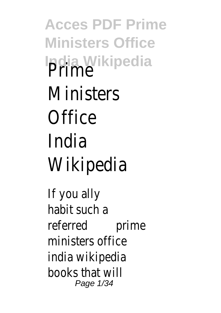**Acces PDF Prime Ministers Office India Wikipedia** Prime **Ministers Office** India Wikipedia

If you ally habit such a referred prime ministers office india wikipedia books that will Page 1/34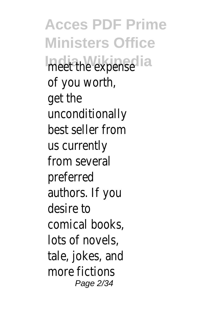**Acces PDF Prime Ministers Office** meet the expense of you worth, get the unconditionally best seller from us currently from several preferred authors. If you desire to comical books, lots of novels, tale, jokes, and more fictions Page 2/34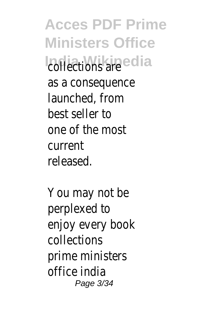**Acces PDF Prime Ministers Office India Wikipedia** as a consequence launched, from best seller to one of the most current released.

You may not be perplexed to enjoy every book collections prime ministers office india Page 3/34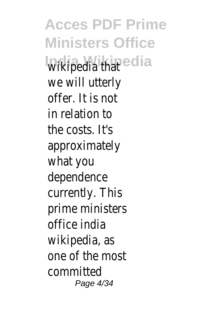**Acces PDF Prime Ministers Office Wikipedia that** a we will utterly offer. It is not in relation to the costs. It's approximately what you dependence currently. This prime ministers office india wikipedia, as one of the most committed Page 4/34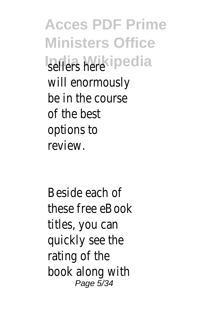**Acces PDF Prime Ministers Office India Wikipedia** will enormously be in the course of the best options to review.

Beside each of these free eBook titles, you can quickly see the rating of the book along with Page 5/34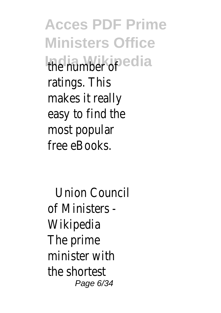**Acces PDF Prime Ministers Office India Wikipedia** ratings. This makes it really easy to find the most popular free eBooks.

Union Council of Ministers - Wikipedia The prime minister with the shortest Page 6/34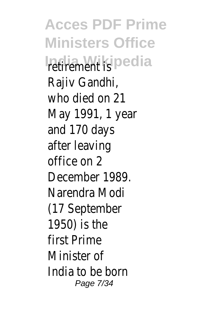**Acces PDF Prime Ministers Office** India Wikipedia Rajiv Gandhi, who died on 21 May 1991, 1 year and 170 days after leaving office on 2 December 1989. Narendra Modi (17 September 1950) is the first Prime Minister of India to be born Page 7/34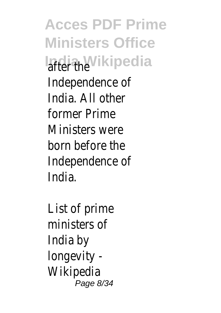**Acces PDF Prime Ministers Office India Wikipedia** Independence of India. All other former Prime Ministers were born before the Independence of India.

List of prime ministers of India by longevity - Wikipedia Page 8/34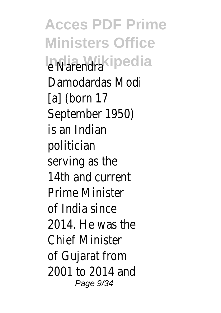**Acces PDF Prime Ministers Office** In Narmikipedia Damodardas Modi [a] (born 17 September 1950) is an Indian politician serving as the 14th and current Prime Minister of India since 2014. He was the Chief Minister of Gujarat from 2001 to 2014 and Page  $9/34$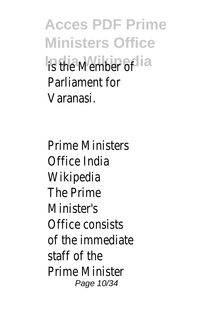**Acces PDF Prime Ministers Office India Wikipedia f** Parliament for Varanasi.

Prime Ministers Office India Wikipedia The Prime Minister's Office consists of the immediate staff of the Prime Minister Page 10/34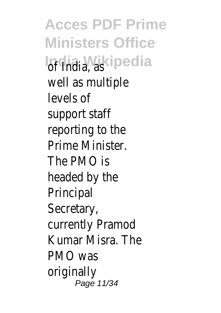**Acces PDF Prime Ministers Office** India Wikipedia well as multiple levels of support staff reporting to the Prime Minister. The PMO is headed by the Principal Secretary, currently Pramod Kumar Misra. The PMO was originally Page 11/34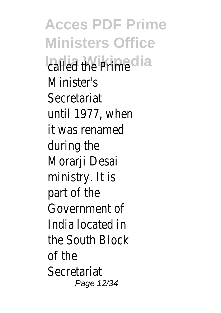**Acces PDF Prime Ministers Office** *<u>Palled the Prime</u>* Minister's Secretariat until 1977, when it was renamed during the Morarji Desai ministry. It is part of the Government of India located in the South Block of the Secretariat Page 12/34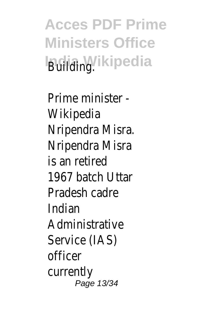**Acces PDF Prime Ministers Office Building.** kipedia

Prime minister - Wikipedia Nripendra Misra. Nripendra Misra is an retired 1967 batch Uttar Pradesh cadre Indian Administrative Service (IAS) officer currently Page 13/34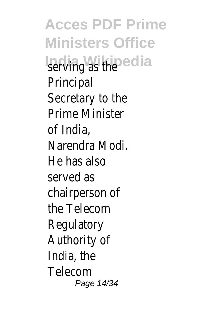**Acces PDF Prime Ministers Office** serving as the a Principal Secretary to the Prime Minister of India, Narendra Modi. He has also served as chairperson of the Telecom Regulatory Authority of India, the Telecom Page 14/34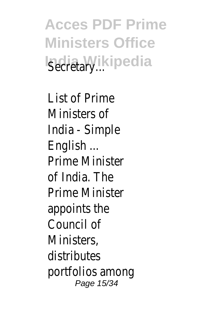**Acces PDF Prime Ministers Office Isecretary**...

List of Prime Ministers of India - Simple English ... Prime Minister of India. The Prime Minister appoints the Council of Ministers, distributes portfolios among Page 15/34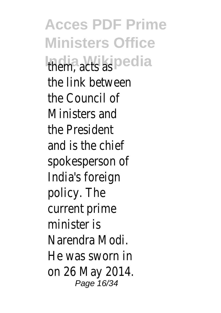**Acces PDF Prime Ministers Office India Wikipedia** the link between the Council of Ministers and the President and is the chief spokesperson of India's foreign policy. The current prime minister is Narendra Modi. He was sworn in on 26 May 2014. Page 16/34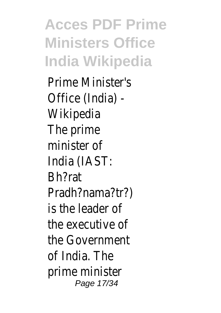**Acces PDF Prime Ministers Office India Wikipedia**

Prime Minister's Office (India) - Wikipedia The prime minister of India (IAST: Bh?rat Pradh?nama?tr?) is the leader of the executive of the Government of India. The prime minister Page 17/34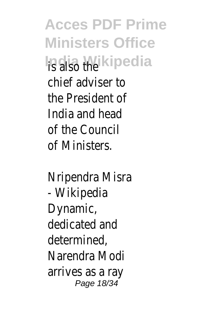**Acces PDF Prime Ministers Office India Wikipedia** chief adviser to the President of India and head of the Council of Ministers.

Nripendra Misra - Wikipedia Dynamic, dedicated and determined, Narendra Modi arrives as a ray Page 18/34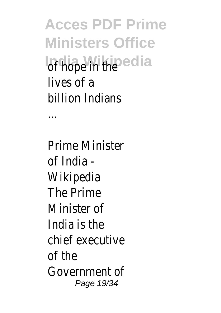**Acces PDF Prime Ministers Office India Wikipedia** lives of a billion Indians

...

Prime Minister of India - Wikipedia The Prime Minister of India is the chief executive of the Government of Page 19/34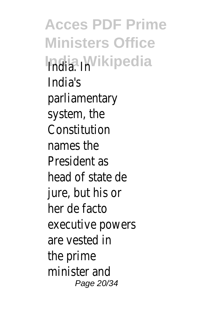**Acces PDF Prime Ministers Office India Wikipedia** India's parliamentary system, the Constitution names the President as head of state de jure, but his or her de facto executive powers are vested in the prime minister and Page 20/34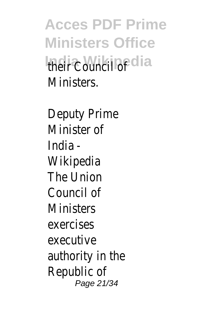**Acces PDF Prime Ministers Office India Wikipedia** Ministers.

Deputy Prime Minister of India - Wikipedia The Union Council of **Ministers** exercises executive authority in the Republic of Page 21/34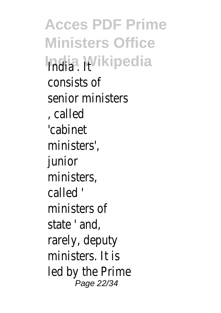**Acces PDF Prime Ministers Office India Wikipedia** consists of senior ministers , called 'cabinet ministers', junior ministers, called ' ministers of state ' and, rarely, deputy ministers. It is led by the Prime Page 22/34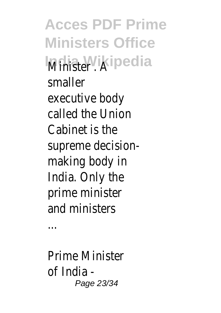**Acces PDF Prime Ministers Office IMina Wikipedia** smaller executive body called the Union Cabinet is the supreme decisionmaking body in India. Only the prime minister and ministers

...

Prime Minister of India - Page 23/34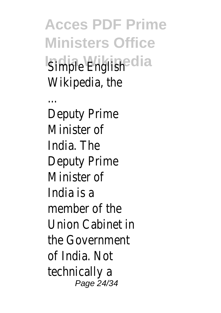**Acces PDF Prime Ministers Office** Simple English<sup>ia</sup> Wikipedia, the

...

Deputy Prime Minister of India. The Deputy Prime Minister of India is a member of the Union Cabinet in the Government of India. Not technically a Page 24/34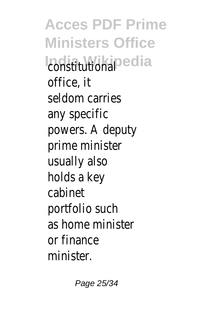**Acces PDF Prime Ministers Office India Mikipedia** office, it seldom carries any specific powers. A deputy prime minister usually also holds a key cabinet portfolio such as home minister or finance minister.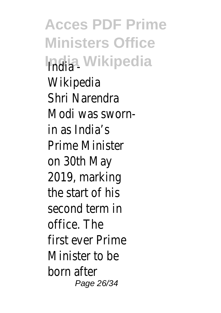**Acces PDF Prime Ministers Office India Wikipedia** Wikipedia Shri Narendra Modi was swornin as India's Prime Minister on 30th May 2019, marking the start of his second term in office. The first ever Prime Minister to be born after Page 26/34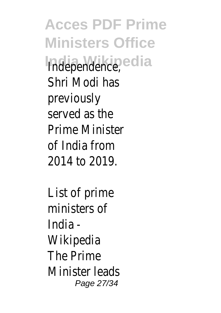**Acces PDF Prime Ministers Office Independence**, a Shri Modi has previously served as the Prime Minister of India from 2014 to 2019.

List of prime ministers of India - Wikipedia The Prime Minister leads Page 27/34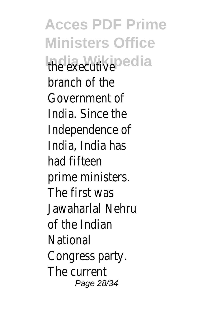**Acces PDF Prime Ministers Office India Wikinedia** branch of the Government of India. Since the Independence of India, India has had fifteen prime ministers. The first was Jawaharlal Nehru of the Indian National Congress party. The current Page 28/34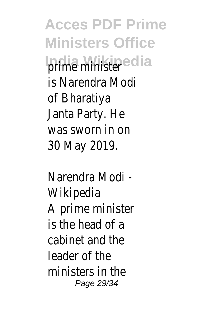**Acces PDF Prime Ministers Office India Wikipedia** is Narendra Modi of Bharatiya Janta Party. He was sworn in on 30 May 2019.

Narendra Modi - Wikipedia A prime minister is the head of a cabinet and the leader of the ministers in the Page 29/34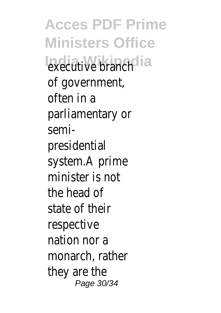**Acces PDF Prime Ministers Office India Wikipedia** executive branch of government, often in a parliamentary or semipresidential system.A prime minister is not the head of state of their respective nation nor a monarch, rather they are the Page 30/34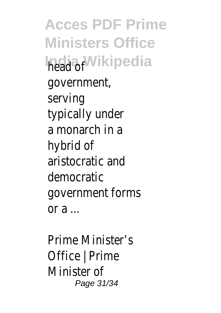**Acces PDF Prime Ministers Office India Wikipedia** government, serving typically under a monarch in a hybrid of aristocratic and democratic government forms or  $a \dots$ 

Prime Minister's Office | Prime Minister of Page 31/34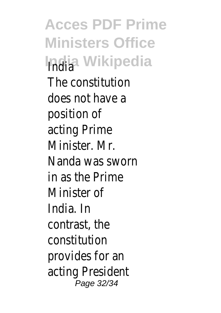**Acces PDF Prime Ministers Office India Wikipedia** The constitution does not have a position of acting Prime Minister. Mr. Nanda was sworn in as the Prime Minister of India. In contrast, the constitution provides for an acting President Page 32/34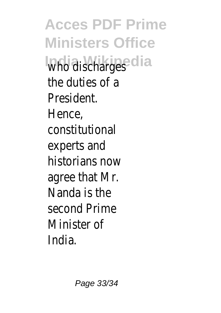**Acces PDF Prime Ministers Office Who** discharges the duties of a President. Hence, constitutional experts and historians now agree that Mr. Nanda is the second Prime Minister of India.